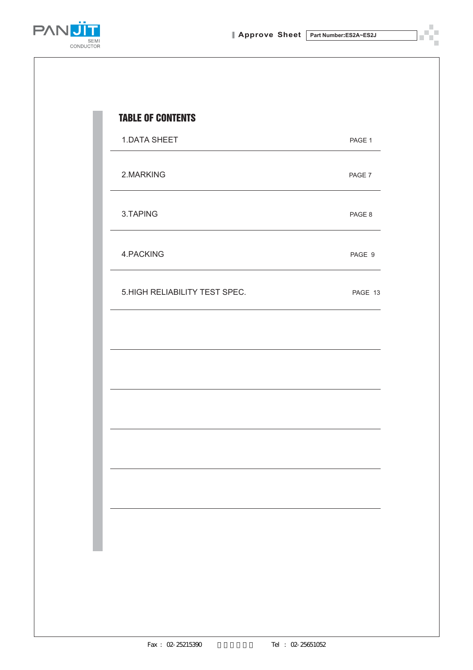

| <b>1.DATA SHEET</b>            | PAGE 1  |
|--------------------------------|---------|
| 2.MARKING                      | PAGE 7  |
| 3.TAPING                       | PAGE 8  |
| 4.PACKING                      | PAGE 9  |
| 5. HIGH RELIABILITY TEST SPEC. | PAGE 13 |
|                                |         |
|                                |         |
|                                |         |
|                                |         |
|                                |         |
|                                |         |
|                                |         |
|                                |         |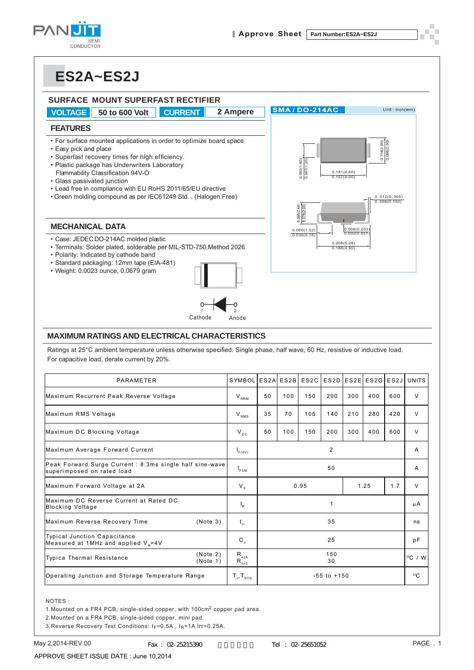



#### **MAXIMUM RATINGS AND ELECTRICAL CHARACTERISTICS**

| • Plastic package has Underwriters Laboratory<br>Flammability Classification 94V-O<br>• Glass passivated junction<br>• Lead free in compliance with EU RoHS 2011/65/EU directive<br>• Green molding compound as per IEC61249 Std. . (Halogen Free) |                                | $\frac{0.062(1.60)}{0.047(1.20)}$<br>$\circ$ <sup>1</sup><br>0.181(4.60)<br>0.157(4.00)<br>0.012(0.305)<br>0.006(0.152)<br>$\frac{0.096(2.44)}{0.078(2.00)}$ |             |                   |                                                               |     |                           |                  |              |
|----------------------------------------------------------------------------------------------------------------------------------------------------------------------------------------------------------------------------------------------------|--------------------------------|--------------------------------------------------------------------------------------------------------------------------------------------------------------|-------------|-------------------|---------------------------------------------------------------|-----|---------------------------|------------------|--------------|
| <b>MECHANICAL DATA</b>                                                                                                                                                                                                                             |                                |                                                                                                                                                              |             | 0.060(1.52)       |                                                               |     |                           |                  |              |
| · Case: JEDEC DO-214AC molded plastic<br>• Terminals: Solder plated, solderable per MIL-STD-750, Method 2026<br>· Polarity: Indicated by cathode band<br>· Standard packaging: 12mm tape (EIA-481)<br>· Weight: 0.0023 ounce, 0.0679 gram          |                                |                                                                                                                                                              | 0.030(0.76) |                   | $[0.008(0.203)$<br>0.002(0.051)<br>0.208(5.28)<br>0.188(4.80) |     |                           |                  |              |
| Cathode                                                                                                                                                                                                                                            | Anode                          |                                                                                                                                                              |             |                   |                                                               |     |                           |                  |              |
| <b>MAXIMUM RATINGS AND ELECTRICAL CHARACTERISTICS</b>                                                                                                                                                                                              |                                |                                                                                                                                                              |             |                   |                                                               |     |                           |                  |              |
| Ratings at 25°C ambient temperature unless otherwise specified. Single phase, half wave, 60 Hz, resistive or inductive load.<br>For capacitive load, derate current by 20%.                                                                        |                                |                                                                                                                                                              |             |                   |                                                               |     |                           |                  |              |
| PARAMETER                                                                                                                                                                                                                                          | SYMBOL ES2A                    |                                                                                                                                                              | ES2B        | ES <sub>2</sub> C |                                                               |     | ES2D   ES2E   ES2G   ES2J |                  | <b>UNITS</b> |
| Maximum Recurrent Peak Reverse Voltage                                                                                                                                                                                                             | $\mathsf{V}_{_{\mathsf{RRM}}}$ | 50                                                                                                                                                           | 100         | 150               | 200                                                           | 300 | 400                       | 600              | V            |
| Maximum RMS Voltage                                                                                                                                                                                                                                | $\rm V_{\rm RMS}$              | 35                                                                                                                                                           | 70          | 105               | 140                                                           | 210 | 280                       | 420              | V            |
| Maximum DC Blocking Voltage                                                                                                                                                                                                                        | $V_{DC}$                       | 50                                                                                                                                                           | 100         | 150               | 200                                                           | 300 | 400                       | 600              | V            |
| Maximum Average Forward Current                                                                                                                                                                                                                    | $I_{F(AV)}$                    |                                                                                                                                                              | 2           |                   |                                                               |     |                           |                  | Α            |
| Peak Forward Surge Current : 8.3ms single half sine-wave<br>superimposed on rated load                                                                                                                                                             | $I_{FSM}$                      |                                                                                                                                                              | 50          |                   |                                                               |     |                           |                  | Α            |
| Maximum Forward Voltage at 2A                                                                                                                                                                                                                      | $V_F$                          |                                                                                                                                                              |             | 0.95              |                                                               |     | 1.25                      | 1.7              | V            |
| Maximum DC Reverse Current at Rated DC<br><b>Blocking Voltage</b>                                                                                                                                                                                  | $I_R$                          |                                                                                                                                                              |             |                   | 1                                                             |     |                           |                  | μA           |
| Maximum Reverse Recovery Time<br>(Note 3)                                                                                                                                                                                                          | $\mathfrak{t}_{\rm rr}$        | 35                                                                                                                                                           |             |                   |                                                               |     |                           | ns               |              |
| <b>Typical Junction Capacitance</b><br>Measured at 1MHz and applied $V_R = 4V$                                                                                                                                                                     | $\mathtt{C}$ ,                 | 25                                                                                                                                                           |             |                   |                                                               |     | рF                        |                  |              |
| (Note 2)<br>Typica Thermal Resistance<br>(Note 1)                                                                                                                                                                                                  |                                | 150<br>30                                                                                                                                                    |             |                   |                                                               |     |                           | $^{\circ}$ C / W |              |
| Operating Junction and Storage Temperature Range<br>$-55$ to $+150$<br>$T_{\rm J}$ , $T_{\rm s\tau G}$                                                                                                                                             |                                |                                                                                                                                                              |             |                   |                                                               |     |                           |                  | $^{\circ}$ C |

#### NOTES :

1.Mounted on a FR4 PCB, single-sided copper, with 100cm2 copper pad area.

2.Mounted on a FR4 PCB, single-sided copper, mini pad.

3. Reverse Recovery Test Conditions: IF=0.5A, IR=1A Irr=0.25A.

APPROVE SHEET ISSUE DATE : June 10,2014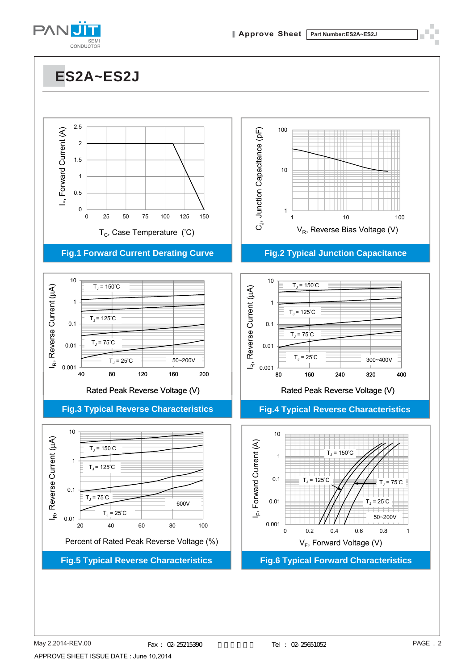

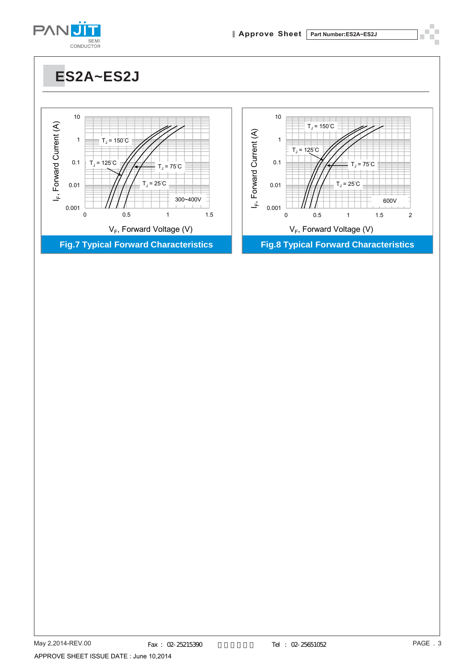

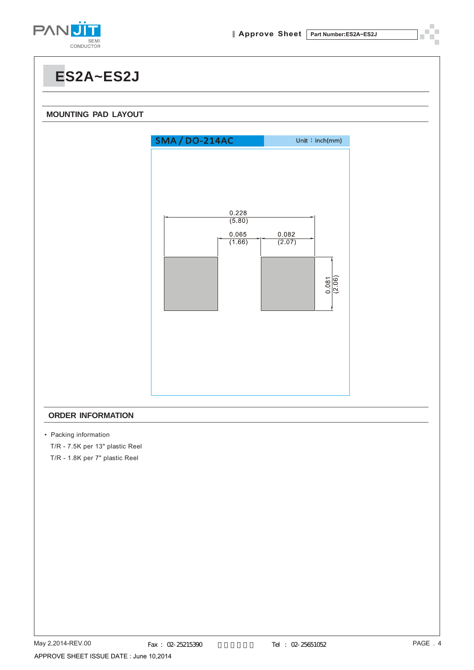

**ES2A~ES2J MOUNTING PAD LAYOUT** Unit: $inch(mm)$ **SMA / DO-214AC** 0.228  $(5.80)$ 0.065 0.082  $(1.66)$  $(2.07)$  $\frac{0.081}{(2.06)}$ 

#### **ORDER INFORMATION**

• Packing information

T/R - 7.5K per 13" plastic Reel

T/R - 1.8K per 7" plastic Reel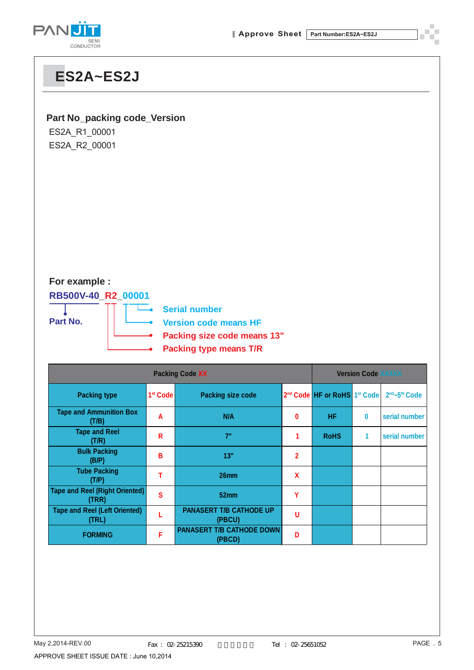

#### **Part No\_packing code\_Version**

ES2A\_R1\_00001 ES2A\_R2\_00001

### **For example :**

**RB500V-40\_R2\_00001**



**Serial number**

**Version code means HF**

- **Packing size code means 13"**
- **Packing type means T/R**

|                                                |                      | <b>Version Code XXXXX</b>                  |                |                                                      |   |                                       |
|------------------------------------------------|----------------------|--------------------------------------------|----------------|------------------------------------------------------|---|---------------------------------------|
| <b>Packing type</b>                            | 1 <sup>st</sup> Code | <b>Packing size code</b>                   |                | 2 <sup>nd</sup> Code HF or RoHS 1 <sup>st</sup> Code |   | 2 <sup>nd</sup> ~5 <sup>th</sup> Code |
| <b>Tape and Ammunition Box</b><br>(T/B)        | A                    | N/A                                        | 0              | HF                                                   | 0 | serial number                         |
| <b>Tape and Reel</b><br>(T/R)                  | R                    | 7"                                         |                | <b>RoHS</b>                                          | 1 | serial number                         |
| <b>Bulk Packing</b><br>(B/P)                   | B                    | 13"                                        | $\overline{2}$ |                                                      |   |                                       |
| <b>Tube Packing</b><br>(T/P)                   |                      | 26mm                                       | X              |                                                      |   |                                       |
| <b>Tape and Reel (Right Oriented)</b><br>(TRR) | S                    | 52 <sub>mm</sub>                           | Υ              |                                                      |   |                                       |
| <b>Tape and Reel (Left Oriented)</b><br>(TRL)  |                      | <b>PANASERT T/B CATHODE UP</b><br>(PBCU)   | U              |                                                      |   |                                       |
| <b>FORMING</b>                                 | F                    | <b>PANASERT T/B CATHODE DOWN</b><br>(PBCD) | D              |                                                      |   |                                       |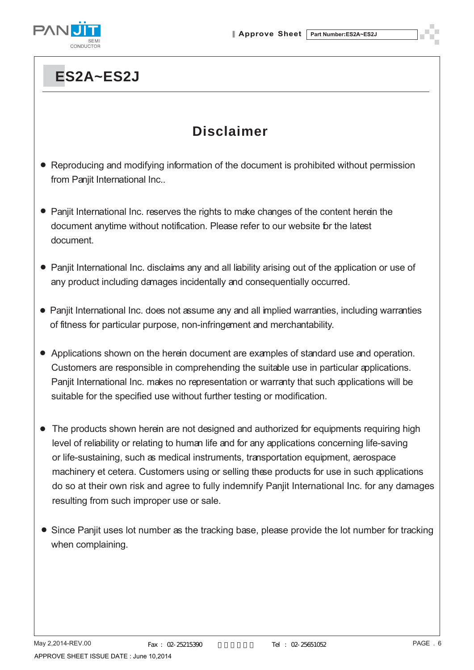

### **Disclaimer**

- Reproducing and modifying information of the document is prohibited without permission from Panjit International Inc..
- Panjit International Inc. reserves the rights to make changes of the content herein the document anytime without notification. Please refer to our website for the latest document.
- Panjit International Inc. disclaims any and all liability arising out of the application or use of any product including damages incidentally and consequentially occurred.
- Panjit International Inc. does not assume any and all implied warranties, including warranties of fitness for particular purpose, non-infringement and merchantability.
- Applications shown on the herein document are examples of standard use and operation. Customers are responsible in comprehending the suitable use in particular applications. Panjit International Inc. makes no representation or warranty that such applications will be suitable for the specified use without further testing or modification.
- The products shown herein are not designed and authorized for equipments requiring high level of reliability or relating to human life and for any applications concerning life-saving or life-sustaining, such as medical instruments, transportation equipment, aerospace machinery et cetera. Customers using or selling these products for use in such applications do so at their own risk and agree to fully indemnify Panjit International Inc. for any damages resulting from such improper use or sale.
- Since Panjit uses lot number as the tracking base, please provide the lot number for tracking when complaining.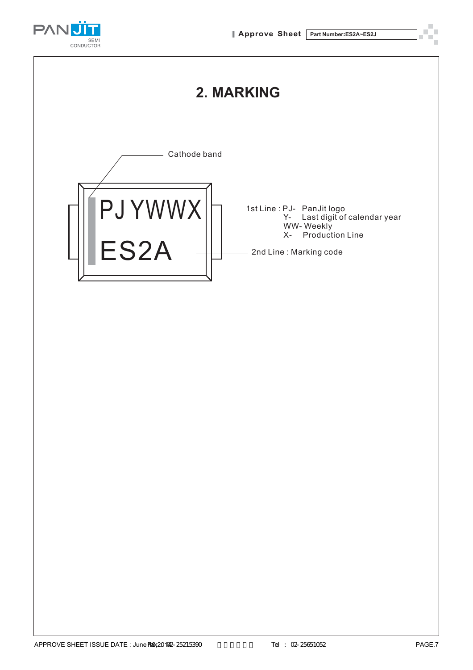

X- Production Line

2nd Line : Marking code



ES2A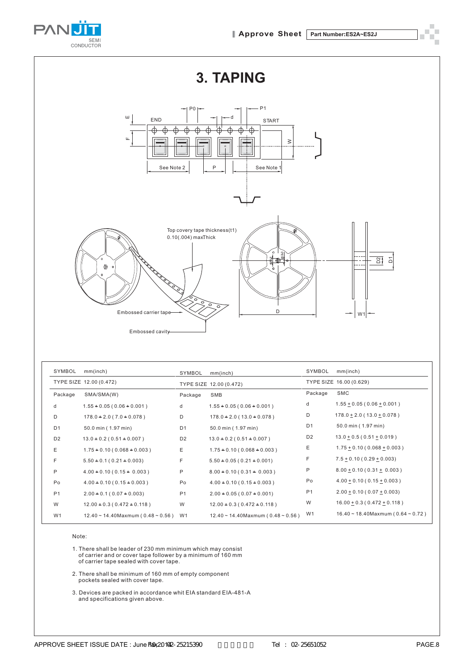



| SYMBOL         | mm(inch)                                | SYMBOL         | mm(inch)                                | SYMBOL         | mm(inch)                                       |
|----------------|-----------------------------------------|----------------|-----------------------------------------|----------------|------------------------------------------------|
|                | TYPE SIZE 12.00 (0.472)                 |                | TYPE SIZE 12.00 (0.472)                 |                | TYPE SIZE 16.00 (0.629)                        |
| Package        | SMA/SMA(W)                              | Package        | SMB                                     | Package        | <b>SMC</b>                                     |
| d              | $1.55 + 0.05(0.06 + 0.001)$             | d              | $1.55 + 0.05(0.06 + 0.001)$             | d              | $1.55 \pm 0.05$ (0.06 $\pm$ 0.001)             |
| D              | $178.0 + 2.0 (7.0 + 0.078)$             | D              | $178.0 + 2.0 (13.0 + 0.078)$            | D              | $178.0 \pm 2.0$ (13.0 $\pm$ 0.078)             |
| D <sub>1</sub> | 50.0 min (1.97 min)                     | D <sub>1</sub> | 50.0 min (1.97 min)                     | D <sub>1</sub> | 50.0 min (1.97 min)                            |
| D <sub>2</sub> | $13.0 \pm 0.2$ (0.51 $\pm$ 0.007)       | D <sub>2</sub> | $13.0 \pm 0.2$ (0.51 $\pm$ 0.007)       | D <sub>2</sub> | $13.0 + 0.5(0.51 + 0.019)$                     |
| Ε              | $1.75 + 0.10 (0.068 + 0.003)$           | Ε              | $1.75 + 0.10 (0.068 + 0.003)$           | Ε              | $1.75 \pm 0.10$ (0.068 $\pm$ 0.003)            |
| F              | $5.50 + 0.1 (0.21 + 0.003)$             | F              | $5.50 + 0.05(0.21 + 0.001)$             | F              | $7.5 \pm 0.10$ (0.29 $\pm$ 0.003)              |
| P              | $4.00 + 0.10 (0.15 + 0.003)$            | P              | $8.00 + 0.10(0.31 + 0.003)$             | P              | $8.00 + 0.10(0.31 + 0.003)$                    |
| Po             | $4.00 + 0.10 (0.15 + 0.003)$            | Po             | $4.00 + 0.10 (0.15 + 0.003)$            | Po             | $4.00 \pm 0.10$ (0.15 $\pm$ 0.003)             |
| P <sub>1</sub> | $2.00 + 0.1 (0.07 + 0.003)$             | P <sub>1</sub> | $2.00 + 0.05(0.07 + 0.001)$             | P <sub>1</sub> | $2.00 \pm 0.10$ (0.07 $\pm$ 0.003)             |
| W              | $12.00 + 0.3(0.472 + 0.118)$            | W              | $12.00 + 0.3(0.472 + 0.118)$            | W              | $16.00 \pm 0.3$ (0.472 $\pm$ 0.118)            |
| W1             | $12.40 \sim 14.40$ Maxmum (0.48 ~ 0.56) | W <sub>1</sub> | $12.40 \sim 14.40$ Maxmum (0.48 ~ 0.56) | W <sub>1</sub> | $16.40 \sim 18.40$ Maxmum ( $0.64 \sim 0.72$ ) |

Note:

1. There shall be leader of 230 mm minimum which ma<sup>y</sup> consist of carrier and or cover tape follower b<sup>y</sup> a minimum of 160 mm of carrier tape sealed with cover tape.

2. There shall be minimum of 160 mm of empt<sup>y</sup> component pockets sealed with cover tape.

3. Devices are packed in accordance whit EIA standard EIA-481-A and specifications given above.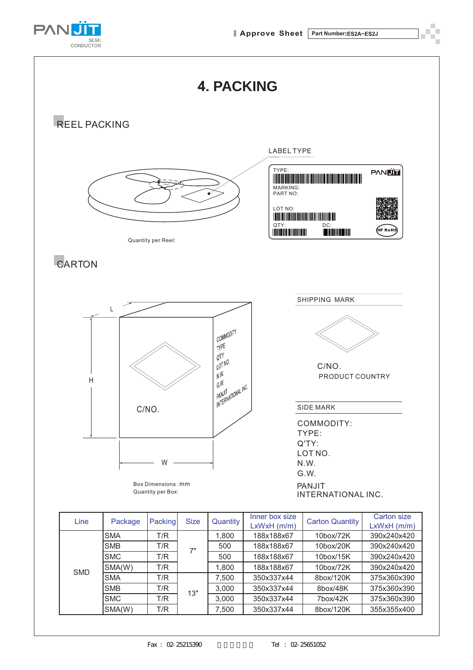



13"

SMC T/R <sup>13</sup> 3,000 350x337x44 7box/42K 375x360x390 SMA(W) | T/R | | | 7,500 | 350x337x44 | 8box/120K | 355x355x400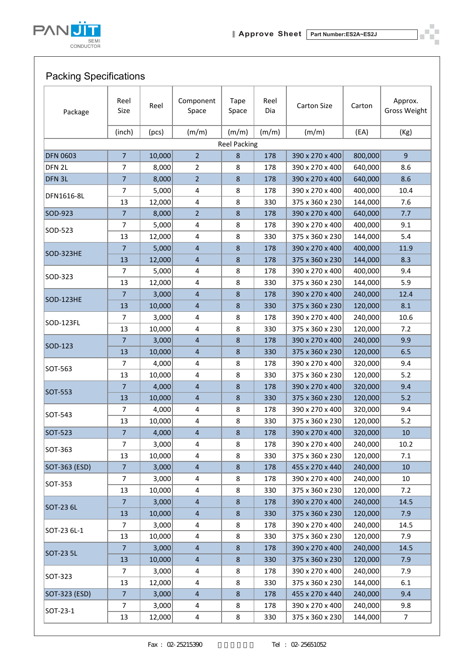

### Packing Specifications

| Package           | Reel<br>Size   | Reel   | Component<br>Space      | <b>Tape</b><br>Space | Reel<br>Dia | <b>Carton Size</b> | Carton  | Approx.<br><b>Gross Weight</b> |
|-------------------|----------------|--------|-------------------------|----------------------|-------------|--------------------|---------|--------------------------------|
|                   | (inch)         | (pcs)  | (m/m)                   | (m/m)                | (m/m)       | (m/m)              | (EA)    | (Kg)                           |
|                   |                |        |                         | <b>Reel Packing</b>  |             |                    |         |                                |
| <b>DFN 0603</b>   | $\overline{7}$ | 10,000 | $\overline{2}$          | 8                    | 178         | 390 x 270 x 400    | 800,000 | $\overline{9}$                 |
| DFN <sub>2L</sub> | $\overline{7}$ | 8,000  | $\overline{2}$          | 8                    | 178         | 390 x 270 x 400    | 640,000 | 8.6                            |
| DFN 3L            | $\overline{7}$ | 8,000  | $\overline{2}$          | 8                    | 178         | 390 x 270 x 400    | 640,000 | 8.6                            |
|                   | $\overline{7}$ | 5,000  | $\overline{\mathbf{4}}$ | 8                    | 178         | 390 x 270 x 400    | 400,000 | 10.4                           |
| DFN1616-8L        | 13             | 12,000 | $\overline{\mathbf{4}}$ | 8                    | 330         | 375 x 360 x 230    | 144,000 | 7.6                            |
| SOD-923           | $\overline{7}$ | 8,000  | $\overline{2}$          | 8                    | 178         | 390 x 270 x 400    | 640,000 | 7.7                            |
|                   | $\overline{7}$ | 5,000  | $\overline{\mathbf{4}}$ | 8                    | 178         | 390 x 270 x 400    | 400,000 | 9.1                            |
| SOD-523           | 13             | 12,000 | $\overline{\mathbf{4}}$ | 8                    | 330         | 375 x 360 x 230    | 144,000 | 5.4                            |
|                   | $\overline{7}$ | 5,000  | $\overline{\mathbf{4}}$ | 8                    | 178         | 390 x 270 x 400    | 400,000 | 11.9                           |
| SOD-323HE         | 13             | 12,000 | $\overline{4}$          | 8                    | 178         | 375 x 360 x 230    | 144,000 | 8.3                            |
|                   | $\overline{7}$ | 5,000  | $\overline{\mathbf{4}}$ | 8                    | 178         | 390 x 270 x 400    | 400,000 | 9.4                            |
| SOD-323           | 13             | 12,000 | $\overline{\mathbf{4}}$ | 8                    | 330         | 375 x 360 x 230    | 144,000 | 5.9                            |
|                   | $\overline{7}$ | 3,000  | $\overline{\mathbf{4}}$ | 8                    | 178         | 390 x 270 x 400    | 240,000 | 12.4                           |
| <b>SOD-123HE</b>  | 13             | 10,000 | $\overline{\mathbf{4}}$ | 8                    | 330         | 375 x 360 x 230    | 120,000 | 8.1                            |
|                   | 7              | 3,000  | 4                       | 8                    | 178         | 390 x 270 x 400    | 240,000 | 10.6                           |
| SOD-123FL         | 13             | 10,000 | $\overline{\mathbf{4}}$ | 8                    | 330         | 375 x 360 x 230    | 120,000 | 7.2                            |
|                   | $\overline{7}$ | 3,000  | $\overline{\mathbf{4}}$ | 8                    | 178         | 390 x 270 x 400    | 240,000 | 9.9                            |
| SOD-123           | 13             | 10,000 | $\overline{\mathbf{4}}$ | 8                    | 330         | 375 x 360 x 230    | 120,000 | 6.5                            |
|                   | $\overline{7}$ | 4,000  | $\overline{\mathbf{4}}$ | 8                    | 178         | 390 x 270 x 400    | 320,000 | 9.4                            |
| SOT-563           | 13             | 10,000 | $\overline{\mathbf{4}}$ | 8                    | 330         | 375 x 360 x 230    | 120,000 | $5.2$                          |
| SOT-553           | $\overline{7}$ | 4,000  | $\overline{\mathbf{4}}$ | 8                    | 178         | 390 x 270 x 400    | 320,000 | 9.4                            |
|                   | 13             | 10,000 | $\overline{4}$          | 8                    | 330         | 375 x 360 x 230    | 120,000 | 5.2                            |
| SOT-543           | $\overline{7}$ | 4,000  | $\overline{\mathbf{4}}$ | 8                    | 178         | 390 x 270 x 400    | 320,000 | 9.4                            |
|                   | 13             | 10,000 | $\overline{\mathbf{4}}$ | 8                    | 330         | 375 x 360 x 230    | 120,000 | 5.2                            |
| SOT-523           | $\overline{7}$ | 4,000  | $\overline{\mathbf{4}}$ | 8                    | 178         | 390 x 270 x 400    | 320,000 | 10                             |
| SOT-363           | 7              | 3,000  | $\overline{\mathbf{4}}$ | 8                    | 178         | 390 x 270 x 400    | 240,000 | $10.2\,$                       |
|                   | 13             | 10,000 | 4                       | 8                    | 330         | 375 x 360 x 230    | 120,000 | 7.1                            |
| SOT-363 (ESD)     | $\overline{7}$ | 3,000  | $\overline{\mathbf{4}}$ | 8                    | 178         | 455 x 270 x 440    | 240,000 | 10                             |
| SOT-353           | 7              | 3,000  | 4                       | 8                    | 178         | 390 x 270 x 400    | 240,000 | 10                             |
|                   | 13             | 10,000 | $\overline{\mathbf{4}}$ | 8                    | 330         | 375 x 360 x 230    | 120,000 | 7.2                            |
| SOT-23 6L         | $\overline{7}$ | 3,000  | $\overline{\mathbf{4}}$ | 8                    | 178         | 390 x 270 x 400    | 240,000 | 14.5                           |
|                   | 13             | 10,000 | $\overline{\mathbf{4}}$ | 8                    | 330         | 375 x 360 x 230    | 120,000 | 7.9                            |
| SOT-23 6L-1       | $\overline{7}$ | 3,000  | 4                       | 8                    | 178         | 390 x 270 x 400    | 240,000 | 14.5                           |
|                   | 13             | 10,000 | 4                       | 8                    | 330         | 375 x 360 x 230    | 120,000 | 7.9                            |
| SOT-23 5L         | $\overline{7}$ | 3,000  | $\overline{\mathbf{4}}$ | 8                    | 178         | 390 x 270 x 400    | 240,000 | 14.5                           |
|                   | 13             | 10,000 | $\overline{\mathbf{4}}$ | 8                    | 330         | 375 x 360 x 230    | 120,000 | 7.9                            |
| SOT-323           | $\overline{7}$ | 3,000  | 4                       | 8                    | 178         | 390 x 270 x 400    | 240,000 | 7.9                            |
|                   | 13             | 12,000 | $\overline{\mathbf{4}}$ | 8                    | 330         | 375 x 360 x 230    | 144,000 | 6.1                            |
| SOT-323 (ESD)     | 7 <sup>7</sup> | 3,000  | $\overline{\mathbf{4}}$ | 8                    | 178         | 455 x 270 x 440    | 240,000 | 9.4                            |
| SOT-23-1          | $\overline{7}$ | 3,000  | 4                       | 8                    | 178         | 390 x 270 x 400    | 240,000 | 9.8                            |
|                   | 13             | 12,000 | 4                       | 8                    | 330         | 375 x 360 x 230    | 144,000 | $\overline{7}$                 |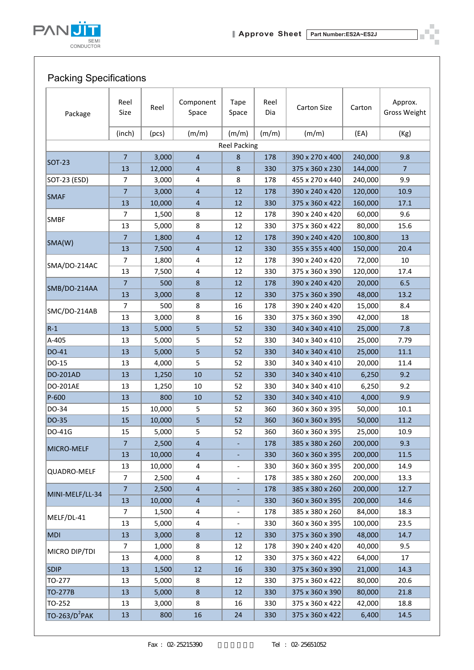

### Packing Specifications

| Package                   | Reel<br>Size   | Reel   | Component<br>Space      | <b>Tape</b><br>Space     | Reel<br>Dia | <b>Carton Size</b> | Carton  | Approx.<br><b>Gross Weight</b> |
|---------------------------|----------------|--------|-------------------------|--------------------------|-------------|--------------------|---------|--------------------------------|
|                           | (inch)         | (pcs)  | (m/m)                   | (m/m)                    | (m/m)       | (m/m)              | (EA)    | (Kg)                           |
|                           |                |        |                         | <b>Reel Packing</b>      |             |                    |         |                                |
|                           | $\overline{7}$ | 3,000  | $\overline{4}$          | $\bf 8$                  | 178         | 390 x 270 x 400    | 240,000 | 9.8                            |
| <b>SOT-23</b>             | 13             | 12,000 | $\overline{4}$          | $\bf 8$                  | 330         | 375 x 360 x 230    | 144,000 | $\overline{7}$                 |
| SOT-23 (ESD)              | $\overline{7}$ | 3,000  | 4                       | 8                        | 178         | 455 x 270 x 440    | 240,000 | 9.9                            |
|                           | $\overline{7}$ | 3,000  | $\overline{4}$          | 12                       | 178         | 390 x 240 x 420    | 120,000 | 10.9                           |
| <b>SMAF</b>               | 13             | 10,000 | $\overline{4}$          | 12                       | 330         | 375 x 360 x 422    | 160,000 | 17.1                           |
|                           | 7              | 1,500  | 8                       | 12                       | 178         | 390 x 240 x 420    | 60,000  | 9.6                            |
| <b>SMBF</b>               | 13             | 5,000  | 8                       | 12                       | 330         | 375 x 360 x 422    | 80,000  | 15.6                           |
|                           | $\overline{7}$ | 1,800  | $\overline{4}$          | 12                       | 178         | 390 x 240 x 420    | 100,800 | 13                             |
| SMA(W)                    | 13             | 7,500  | $\overline{4}$          | 12                       | 330         | 355 x 355 x 400    | 150,000 | 20.4                           |
|                           | $\overline{7}$ | 1,800  | 4                       | 12                       | 178         | 390 x 240 x 420    | 72,000  | 10                             |
| SMA/DO-214AC              | 13             | 7,500  | $\overline{\mathbf{4}}$ | 12                       | 330         | 375 x 360 x 390    | 120,000 | 17.4                           |
|                           | $\overline{7}$ | 500    | 8                       | 12                       | 178         | 390 x 240 x 420    | 20,000  | 6.5                            |
| SMB/DO-214AA              | 13             | 3,000  | $\bf 8$                 | 12                       | 330         | 375 x 360 x 390    | 48,000  | 13.2                           |
|                           | 7              | 500    | 8                       | 16                       | 178         | 390 x 240 x 420    | 15,000  | 8.4                            |
| SMC/DO-214AB              | 13             | 3,000  | 8                       | 16                       | 330         | 375 x 360 x 390    | 42,000  | 18                             |
| $R-1$                     | 13             | 5,000  | 5                       | 52                       | 330         | 340 x 340 x 410    | 25,000  | 7.8                            |
| A-405                     | 13             | 5,000  | 5                       | 52                       | 330         | 340 x 340 x 410    | 25,000  | 7.79                           |
| DO-41                     | 13             | 5,000  | 5                       | 52                       | 330         | 340 x 340 x 410    | 25,000  | $11.1\,$                       |
| DO-15                     | 13             | 4,000  | 5                       | 52                       | 330         | 340 x 340 x 410    | 20,000  | 11.4                           |
| DO-201AD                  | 13             | 1,250  | 10                      | 52                       | 330         | 340 x 340 x 410    | 6,250   | 9.2                            |
| DO-201AE                  | 13             | 1,250  | 10                      | 52                       | 330         | 340 x 340 x 410    | 6,250   | 9.2                            |
| P-600                     | 13             | 800    | 10                      | 52                       | 330         | 340 x 340 x 410    | 4,000   | 9.9                            |
| DO-34                     | 15             | 10,000 | 5                       | 52                       | 360         | 360 x 360 x 395    | 50,000  | $10.1\,$                       |
| DO-35                     | 15             | 10,000 | 5                       | 52                       | 360         | 360 x 360 x 395    | 50,000  | 11.2                           |
| DO-41G                    | 15             | 5,000  | 5                       | 52                       | 360         | 360 x 360 x 395    | 25,000  | 10.9                           |
|                           | $\overline{7}$ | 2,500  | $\overline{\mathbf{4}}$ |                          | 178         | 385 x 380 x 260    | 200,000 | 9.3                            |
| MICRO-MELF                | 13             | 10,000 | $\overline{4}$          | $\overline{\phantom{0}}$ | 330         | 360 x 360 x 395    | 200,000 | 11.5                           |
|                           | 13             | 10,000 | $\overline{\mathbf{4}}$ |                          | 330         | 360 x 360 x 395    | 200,000 | 14.9                           |
| QUADRO-MELF               | $\overline{7}$ | 2,500  | 4                       | $\qquad \qquad -$        | 178         | 385 x 380 x 260    | 200,000 | 13.3                           |
|                           | $\overline{7}$ | 2,500  | $\overline{4}$          |                          | 178         | 385 x 380 x 260    | 200,000 | 12.7                           |
| MINI-MELF/LL-34           | 13             | 10,000 | $\overline{a}$          |                          | 330         | 360 x 360 x 395    | 200,000 | 14.6                           |
|                           | $\overline{7}$ | 1,500  | 4                       | -                        | 178         | 385 x 380 x 260    | 84,000  | 18.3                           |
| MELF/DL-41                | 13             | 5,000  | $\overline{\mathbf{4}}$ |                          | 330         | 360 x 360 x 395    | 100,000 | 23.5                           |
| <b>MDI</b>                | 13             | 3,000  | $\bf 8$                 | 12                       | 330         | 375 x 360 x 390    | 48,000  | 14.7                           |
|                           | $\overline{7}$ | 1,000  | 8                       | 12                       | 178         | 390 x 240 x 420    | 40,000  | 9.5                            |
| MICRO DIP/TDI             | 13             | 4,000  | 8                       | 12                       | 330         | 375 x 360 x 422    | 64,000  | 17                             |
| <b>SDIP</b>               | 13             | 1,500  | 12                      | 16                       | 330         | 375 x 360 x 390    | 21,000  | 14.3                           |
| TO-277                    | 13             | 5,000  | 8                       | 12                       | 330         | 375 x 360 x 422    | 80,000  | 20.6                           |
| TO-277B                   | 13             | 5,000  | $\bf 8$                 | 12                       | 330         | 375 x 360 x 390    | 80,000  | 21.8                           |
| TO-252                    | 13             | 3,000  | 8                       | 16                       | 330         | 375 x 360 x 422    | 42,000  | 18.8                           |
| TO-263/D <sup>2</sup> PAK | 13             | 800    | $16\,$                  | 24                       | 330         | 375 x 360 x 422    | 6,400   | 14.5                           |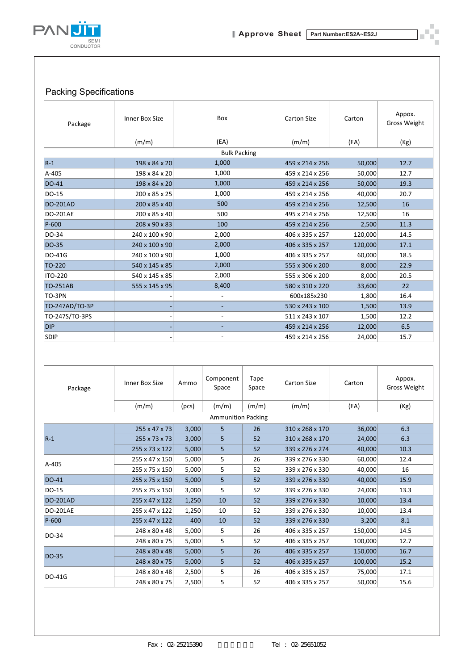

### Packing Specifications

| Package         | Inner Box Size | Box                      | Carton Size     | Carton  | Appox.<br>Gross Weight |
|-----------------|----------------|--------------------------|-----------------|---------|------------------------|
|                 | (m/m)          | (EA)                     | (m/m)           | (EA)    | (Kg)                   |
|                 |                | <b>Bulk Packing</b>      |                 |         |                        |
| $R-1$           | 198 x 84 x 20  | 1,000                    | 459 x 214 x 256 | 50,000  | 12.7                   |
| A-405           | 198 x 84 x 20  | 1,000                    | 459 x 214 x 256 | 50,000  | 12.7                   |
| <b>DO-41</b>    | 198 x 84 x 20  | 1,000                    | 459 x 214 x 256 | 50,000  | 19.3                   |
| DO-15           | 200 x 85 x 25  | 1,000                    | 459 x 214 x 256 | 40,000  | 20.7                   |
| <b>DO-201AD</b> | 200 x 85 x 40  | 500                      | 459 x 214 x 256 | 12,500  | 16                     |
| <b>DO-201AE</b> | 200 x 85 x 40  | 500                      | 495 x 214 x 256 | 12,500  | 16                     |
| P-600           | 208 x 90 x 83  | 100                      | 459 x 214 x 256 | 2,500   | 11.3                   |
| DO-34           | 240 x 100 x 90 | 2,000                    | 406 x 335 x 257 | 120,000 | 14.5                   |
| DO-35           | 240 x 100 x 90 | 2,000                    | 406 x 335 x 257 | 120,000 | 17.1                   |
| DO-41G          | 240 x 100 x 90 | 1,000                    | 406 x 335 x 257 | 60,000  | 18.5                   |
| TO-220          | 540 x 145 x 85 | 2,000                    | 555 x 306 x 200 | 8,000   | 22.9                   |
| <b>ITO-220</b>  | 540 x 145 x 85 | 2,000                    | 555 x 306 x 200 | 8,000   | 20.5                   |
| <b>TO-251AB</b> | 555 x 145 x 95 | 8,400                    | 580 x 310 x 220 | 33,600  | 22                     |
| TO-3PN          |                | $\overline{\phantom{a}}$ | 600x185x230     | 1,800   | 16.4                   |
| TO-247AD/TO-3P  |                |                          | 530 x 243 x 100 | 1,500   | 13.9                   |
| TO-247S/TO-3PS  |                | $\overline{\phantom{a}}$ | 511 x 243 x 107 | 1,500   | 12.2                   |
| <b>DIP</b>      |                |                          | 459 x 214 x 256 | 12,000  | 6.5                    |
| <b>SDIP</b>     |                | $\overline{\phantom{a}}$ | 459 x 214 x 256 | 24,000  | 15.7                   |

| Package         | Inner Box Size            | Ammo  | Component<br>Space | Tape<br>Space | Carton Size     | Carton  | Appox.<br><b>Gross Weight</b> |  |  |  |
|-----------------|---------------------------|-------|--------------------|---------------|-----------------|---------|-------------------------------|--|--|--|
|                 | (m/m)                     | (pcs) | (m/m)              | (m/m)         | (m/m)           | (EA)    | (Kg)                          |  |  |  |
|                 | <b>Ammunition Packing</b> |       |                    |               |                 |         |                               |  |  |  |
|                 | 255 x 47 x 73             | 3,000 | 5                  | 26            | 310 x 268 x 170 | 36,000  | 6.3                           |  |  |  |
| $R-1$           | 255 x 73 x 73             | 3,000 | 5                  | 52            | 310 x 268 x 170 | 24,000  | 6.3                           |  |  |  |
|                 | 255 x 73 x 122            | 5,000 | 5                  | 52            | 339 x 276 x 274 | 40,000  | 10.3                          |  |  |  |
| A-405           | 255 x 47 x 150            | 5,000 | 5                  | 26            | 339 x 276 x 330 | 60,000  | 12.4                          |  |  |  |
|                 | 255 x 75 x 150            | 5,000 | 5                  | 52            | 339 x 276 x 330 | 40,000  | 16                            |  |  |  |
| <b>DO-41</b>    | 255 x 75 x 150            | 5,000 | 5                  | 52            | 339 x 276 x 330 | 40,000  | 15.9                          |  |  |  |
| DO-15           | 255 x 75 x 150            | 3,000 | 5                  | 52            | 339 x 276 x 330 | 24,000  | 13.3                          |  |  |  |
| <b>DO-201AD</b> | 255 x 47 x 122            | 1,250 | 10                 | 52            | 339 x 276 x 330 | 10,000  | 13.4                          |  |  |  |
| <b>DO-201AE</b> | 255 x 47 x 122            | 1,250 | 10                 | 52            | 339 x 276 x 330 | 10,000  | 13.4                          |  |  |  |
| P-600           | 255 x 47 x 122            | 400   | 10                 | 52            | 339 x 276 x 330 | 3,200   | 8.1                           |  |  |  |
| DO-34           | 248 x 80 x 48             | 5,000 | 5                  | 26            | 406 x 335 x 257 | 150,000 | 14.5                          |  |  |  |
|                 | 248 x 80 x 75             | 5,000 | 5                  | 52            | 406 x 335 x 257 | 100,000 | 12.7                          |  |  |  |
| <b>DO-35</b>    | 248 x 80 x 48             | 5,000 | 5                  | 26            | 406 x 335 x 257 | 150,000 | 16.7                          |  |  |  |
|                 | 248 x 80 x 75             | 5,000 | 5                  | 52            | 406 x 335 x 257 | 100,000 | 15.2                          |  |  |  |
| DO-41G          | 248 x 80 x 48             | 2,500 | 5                  | 26            | 406 x 335 x 257 | 75,000  | 17.1                          |  |  |  |
|                 | 248 x 80 x 75             | 2,500 | 5                  | 52            | 406 x 335 x 257 | 50,000  | 15.6                          |  |  |  |